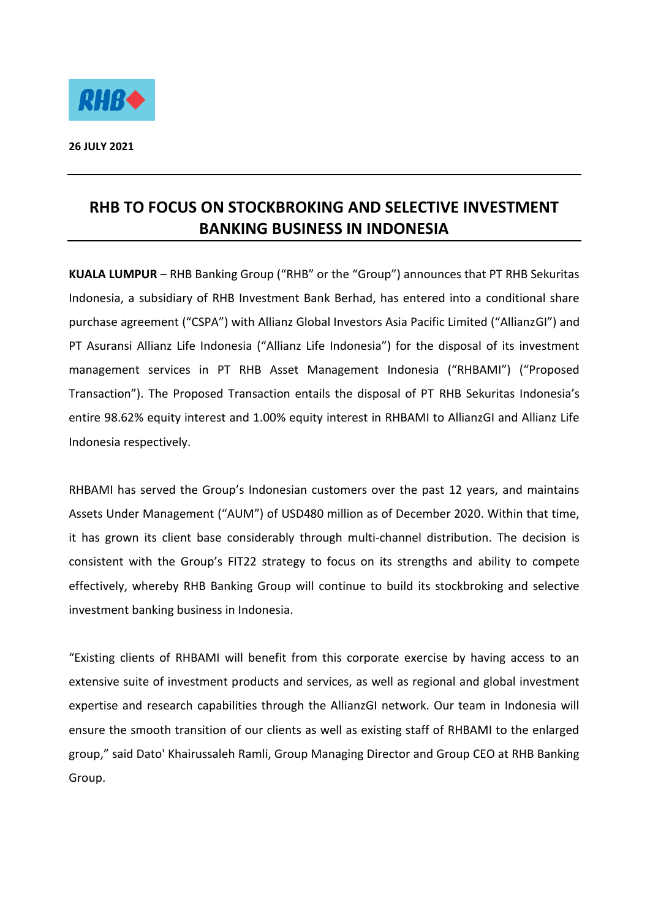

## **RHB TO FOCUS ON STOCKBROKING AND SELECTIVE INVESTMENT BANKING BUSINESS IN INDONESIA**

**KUALA LUMPUR** – RHB Banking Group ("RHB" or the "Group") announces that PT RHB Sekuritas Indonesia, a subsidiary of RHB Investment Bank Berhad, has entered into a conditional share purchase agreement ("CSPA") with Allianz Global Investors Asia Pacific Limited ("AllianzGI") and PT Asuransi Allianz Life Indonesia ("Allianz Life Indonesia") for the disposal of its investment management services in PT RHB Asset Management Indonesia ("RHBAMI") ("Proposed Transaction"). The Proposed Transaction entails the disposal of PT RHB Sekuritas Indonesia's entire 98.62% equity interest and 1.00% equity interest in RHBAMI to AllianzGI and Allianz Life Indonesia respectively.

RHBAMI has served the Group's Indonesian customers over the past 12 years, and maintains Assets Under Management ("AUM") of USD480 million as of December 2020. Within that time, it has grown its client base considerably through multi-channel distribution. The decision is consistent with the Group's FIT22 strategy to focus on its strengths and ability to compete effectively, whereby RHB Banking Group will continue to build its stockbroking and selective investment banking business in Indonesia.

"Existing clients of RHBAMI will benefit from this corporate exercise by having access to an extensive suite of investment products and services, as well as regional and global investment expertise and research capabilities through the AllianzGI network. Our team in Indonesia will ensure the smooth transition of our clients as well as existing staff of RHBAMI to the enlarged group," said Dato' Khairussaleh Ramli, Group Managing Director and Group CEO at RHB Banking Group.